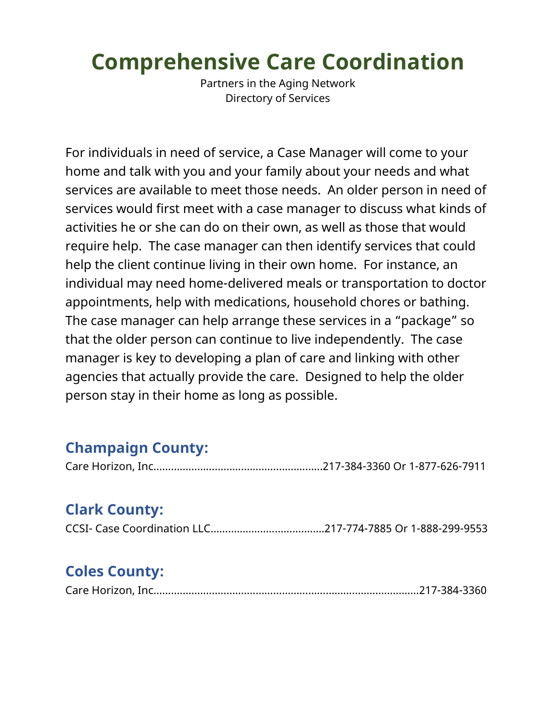# **Comprehensive Care Coordination**

Partners in the Aging Network Directory of Services

For individuals in need of service, a Case Manager will come to your home and talk with you and your family about your needs and what services are available to meet those needs. An older person in need of services would first meet with a case manager to discuss what kinds of activities he or she can do on their own, as well as those that would require help. The case manager can then identify services that could help the client continue living in their own home. For instance, an individual may need home-delivered meals or transportation to doctor appointments, help with medications, household chores or bathing. The case manager can help arrange these services in a "package" so that the older person can continue to live independently. The case manager is key to developing a plan of care and linking with other agencies that actually provide the care. Designed to help the older person stay in their home as long as possible.

# **Champaign County:**

|--|--|--|--|--|--|--|--|--|--|--|

# **Clark County:**

|--|--|--|

# **Coles County:**

|--|--|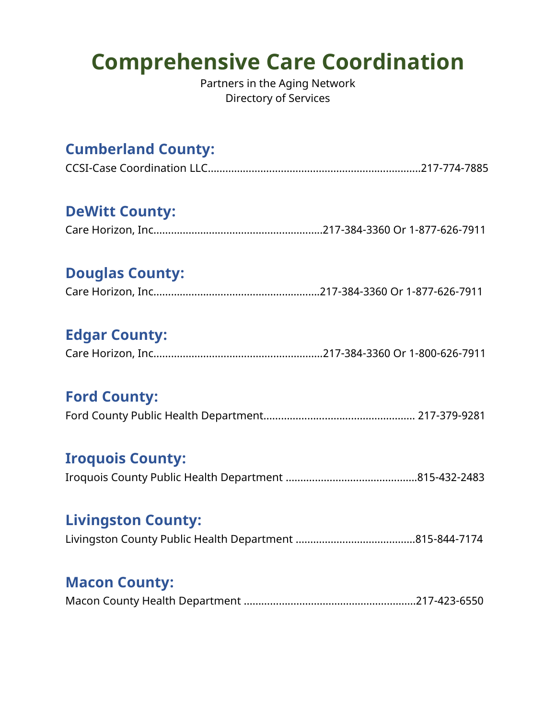# **Comprehensive Care Coordination**

Partners in the Aging Network Directory of Services

# **Cumberland County:**

#### **DeWitt County:**

## **Douglas County:**

# **Edgar County:**

|--|--|--|

# **Ford County:**

#### **Iroquois County:**

Iroquois County Public Health Department …….………………….…………….815-432-2483

#### **Livingston County:**

|--|--|--|

## **Macon County:**

|--|--|